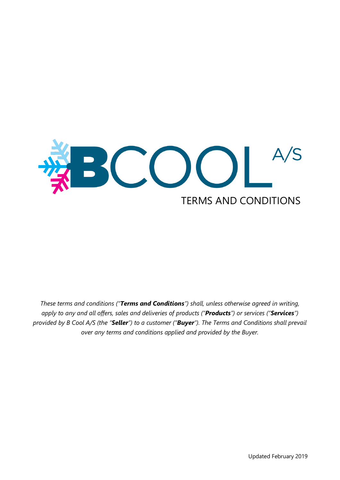

*These terms and conditions ("Terms and Conditions") shall, unless otherwise agreed in writing, apply to any and all offers, sales and deliveries of products ("Products") or services ("Services") provided by B Cool A/S (the "Seller") to a customer ("Buyer"). The Terms and Conditions shall prevail over any terms and conditions applied and provided by the Buyer.*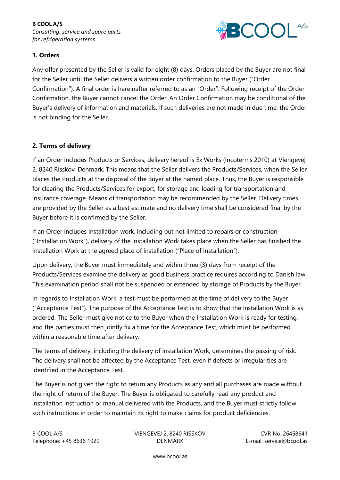

# **1. Orders**

Any offer presented by the Seller is valid for eight (8) days. Orders placed by the Buyer are not final for the Seller until the Seller delivers a written order confirmation to the Buyer ("Order Confirmation"). A final order is hereinafter referred to as an "Order". Following receipt of the Order Confirmation, the Buyer cannot cancel the Order. An Order Confirmation may be conditional of the Buyer's delivery of information and materials. If such deliveries are not made in due time, the Order is not binding for the Seller.

# **2. Terms of delivery**

If an Order includes Products or Services, delivery hereof is Ex Works (Incoterms 2010) at Viengevej 2, 8240 Risskov, Denmark. This means that the Seller delivers the Products/Services, when the Seller places the Products at the disposal of the Buyer at the named place. Thus, the Buyer is responsible for clearing the Products/Services for export, for storage and loading for transportation and insurance coverage. Means of transportation may be recommended by the Seller. Delivery times are provided by the Seller as a best estimate and no delivery time shall be considered final by the Buyer before it is confirmed by the Seller.

If an Order includes installation work, including but not limited to repairs or construction ("Installation Work"), delivery of the Installation Work takes place when the Seller has finished the Installation Work at the agreed place of installation ("Place of Installation").

Upon delivery, the Buyer must immediately and within three (3) days from receipt of the Products/Services examine the delivery as good business practice requires according to Danish law. This examination period shall not be suspended or extended by storage of Products by the Buyer.

In regards to Installation Work, a test must be performed at the time of delivery to the Buyer ("Acceptance Test"). The purpose of the Acceptance Test is to show that the Installation Work is as ordered. The Seller must give notice to the Buyer when the Installation Work is ready for testing, and the parties must then jointly fix a time for the Acceptance Test, which must be performed within a reasonable time after delivery.

The terms of delivery, including the delivery of Installation Work, determines the passing of risk. The delivery shall not be affected by the Acceptance Test, even if defects or irregularities are identified in the Acceptance Test.

The Buyer is not given the right to return any Products as any and all purchases are made without the right of return of the Buyer. The Buyer is obligated to carefully read any product and installation instruction or manual delivered with the Products, and the Buyer must strictly follow such instructions in order to maintain its right to make claims for product deficiencies.

B COOL A/S COOL A/S COOL A/S COOL A/S COOL A/S COOL A/S COOL A/S COOL A/S COOL A/S COOL A/S COOL A/S COOL A/S COOL A/S COOL A/S COOL A/S COOL A/S COOL A/S COOL A/S COOL A/S COOL A/S COOL A/S COOL A/S COOL A/S COOL A/S COOL Telephone: +45 8636 1929 DENMARK E-mail: service@bcool.as

www.bcool.as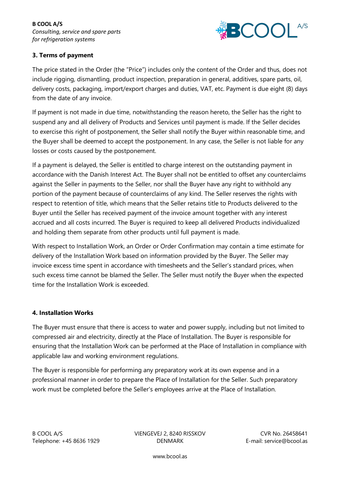**B COOL A/S** *Consulting, service and spare parts for refrigeration systems*



# **3. Terms of payment**

The price stated in the Order (the "Price") includes only the content of the Order and thus, does not include rigging, dismantling, product inspection, preparation in general, additives, spare parts, oil, delivery costs, packaging, import/export charges and duties, VAT, etc. Payment is due eight (8) days from the date of any invoice.

If payment is not made in due time, notwithstanding the reason hereto, the Seller has the right to suspend any and all delivery of Products and Services until payment is made. If the Seller decides to exercise this right of postponement, the Seller shall notify the Buyer within reasonable time, and the Buyer shall be deemed to accept the postponement. In any case, the Seller is not liable for any losses or costs caused by the postponement.

If a payment is delayed, the Seller is entitled to charge interest on the outstanding payment in accordance with the Danish Interest Act. The Buyer shall not be entitled to offset any counterclaims against the Seller in payments to the Seller, nor shall the Buyer have any right to withhold any portion of the payment because of counterclaims of any kind. The Seller reserves the rights with respect to retention of title, which means that the Seller retains title to Products delivered to the Buyer until the Seller has received payment of the invoice amount together with any interest accrued and all costs incurred. The Buyer is required to keep all delivered Products individualized and holding them separate from other products until full payment is made.

With respect to Installation Work, an Order or Order Confirmation may contain a time estimate for delivery of the Installation Work based on information provided by the Buyer. The Seller may invoice excess time spent in accordance with timesheets and the Seller's standard prices, when such excess time cannot be blamed the Seller. The Seller must notify the Buyer when the expected time for the Installation Work is exceeded.

#### **4. Installation Works**

The Buyer must ensure that there is access to water and power supply, including but not limited to compressed air and electricity, directly at the Place of Installation. The Buyer is responsible for ensuring that the Installation Work can be performed at the Place of Installation in compliance with applicable law and working environment regulations.

The Buyer is responsible for performing any preparatory work at its own expense and in a professional manner in order to prepare the Place of Installation for the Seller. Such preparatory work must be completed before the Seller's employees arrive at the Place of Installation.

B COOL A/S VIENGEVEJ 2, 8240 RISSKOV CVR No. 26458641 Telephone: +45 8636 1929 DENMARK E-mail: service@bcool.as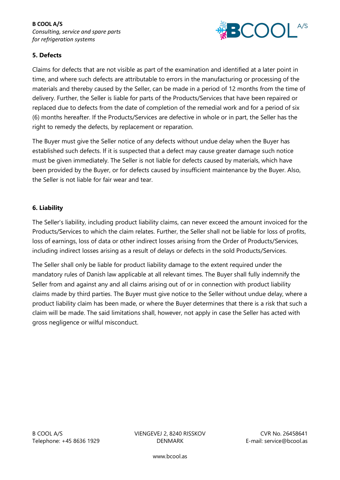

# **5. Defects**

Claims for defects that are not visible as part of the examination and identified at a later point in time, and where such defects are attributable to errors in the manufacturing or processing of the materials and thereby caused by the Seller, can be made in a period of 12 months from the time of delivery. Further, the Seller is liable for parts of the Products/Services that have been repaired or replaced due to defects from the date of completion of the remedial work and for a period of six (6) months hereafter. If the Products/Services are defective in whole or in part, the Seller has the right to remedy the defects, by replacement or reparation.

The Buyer must give the Seller notice of any defects without undue delay when the Buyer has established such defects. If it is suspected that a defect may cause greater damage such notice must be given immediately. The Seller is not liable for defects caused by materials, which have been provided by the Buyer, or for defects caused by insufficient maintenance by the Buyer. Also, the Seller is not liable for fair wear and tear.

#### **6. Liability**

The Seller's liability, including product liability claims, can never exceed the amount invoiced for the Products/Services to which the claim relates. Further, the Seller shall not be liable for loss of profits, loss of earnings, loss of data or other indirect losses arising from the Order of Products/Services, including indirect losses arising as a result of delays or defects in the sold Products/Services.

The Seller shall only be liable for product liability damage to the extent required under the mandatory rules of Danish law applicable at all relevant times. The Buyer shall fully indemnify the Seller from and against any and all claims arising out of or in connection with product liability claims made by third parties. The Buyer must give notice to the Seller without undue delay, where a product liability claim has been made, or where the Buyer determines that there is a risk that such a claim will be made. The said limitations shall, however, not apply in case the Seller has acted with gross negligence or wilful misconduct.

B COOL A/S COOL A/S COOL A/S COOL A/S COOL A/S COOL A/S COOL A/S COOL A/S COOL A/S COOL A/S COOL A/S COOL A/S COOL A/S COOL A/S COOL A/S COOL A/S COOL A/S COOL A/S COOL A/S COOL A/S COOL A/S COOL A/S COOL A/S COOL A/S COOL Telephone: +45 8636 1929 DENMARK E-mail: service@bcool.as

www.bcool.as